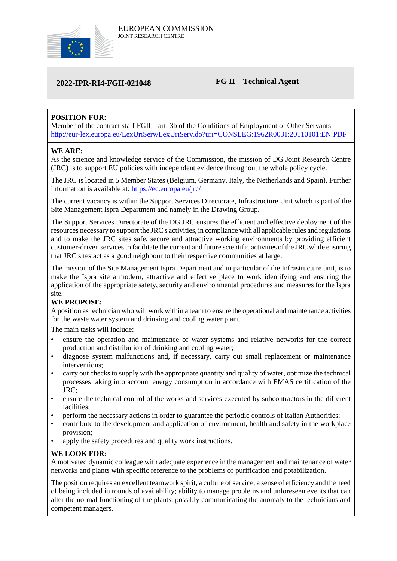

# **2022-IPR-RI4-FGII-021048 FG II – Technical Agent**

# **POSITION FOR:**

Member of the contract staff FGII – art. 3b of the Conditions of Employment of Other Servants <http://eur-lex.europa.eu/LexUriServ/LexUriServ.do?uri=CONSLEG:1962R0031:20110101:EN:PDF>

# **WE ARE:**

As the science and knowledge service of the Commission, the mission of DG Joint Research Centre (JRC) is to support EU policies with independent evidence throughout the whole policy cycle.

The JRC is located in 5 Member States (Belgium, Germany, Italy, the Netherlands and Spain). Further information is available at: <https://ec.europa.eu/jrc/>

The current vacancy is within the Support Services Directorate, Infrastructure Unit which is part of the Site Management Ispra Department and namely in the Drawing Group.

The Support Services Directorate of the DG JRC ensures the efficient and effective deployment of the resources necessary to support the JRC's activities, in compliance with all applicable rules and regulations and to make the JRC sites safe, secure and attractive working environments by providing efficient customer-driven services to facilitate the current and future scientific activities of the JRC while ensuring that JRC sites act as a good neighbour to their respective communities at large.

The mission of the Site Management Ispra Department and in particular of the Infrastructure unit, is to make the Ispra site a modern, attractive and effective place to work identifying and ensuring the application of the appropriate safety, security and environmental procedures and measures for the Ispra site.

### **WE PROPOSE:**

A position as technician who will work within a team to ensure the operational and maintenance activities for the waste water system and drinking and cooling water plant.

The main tasks will include:

- ensure the operation and maintenance of water systems and relative networks for the correct production and distribution of drinking and cooling water;
- diagnose system malfunctions and, if necessary, carry out small replacement or maintenance interventions;
- carry out checks to supply with the appropriate quantity and quality of water, optimize the technical processes taking into account energy consumption in accordance with EMAS certification of the JRC;
- ensure the technical control of the works and services executed by subcontractors in the different facilities;
- perform the necessary actions in order to guarantee the periodic controls of Italian Authorities;
- contribute to the development and application of environment, health and safety in the workplace provision;
- apply the safety procedures and quality work instructions.

### **WE LOOK FOR:**

A motivated dynamic colleague with adequate experience in the management and maintenance of water networks and plants with specific reference to the problems of purification and potabilization.

The position requires an excellent teamwork spirit, a culture of service, a sense of efficiency and the need of being included in rounds of availability; ability to manage problems and unforeseen events that can alter the normal functioning of the plants, possibly communicating the anomaly to the technicians and competent managers.